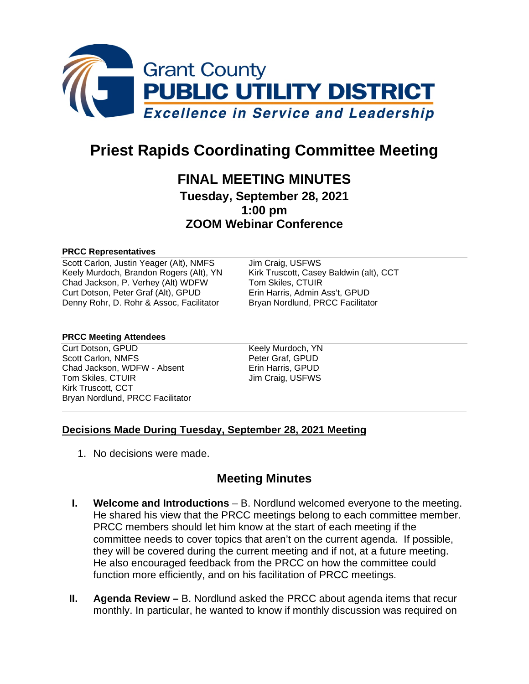

# **Priest Rapids Coordinating Committee Meeting**

# **FINAL MEETING MINUTES**

**Tuesday, September 28, 2021 1:00 pm ZOOM Webinar Conference**

#### **PRCC Representatives**

Scott Carlon, Justin Yeager (Alt), NMFS Jim Craig, USFWS Keely Murdoch, Brandon Rogers (Alt), YN Kirk Truscott, Casey Baldwin (alt), CCT Chad Jackson, P. Verhey (Alt) WDFW Tom Skiles, CTUIR<br>Curt Dotson, Peter Graf (Alt), GPUD Erin Harris, Admin Ass't. GPUD Curt Dotson, Peter Graf (Alt), GPUD Denny Rohr, D. Rohr & Assoc, Facilitator Bryan Nordlund, PRCC Facilitator

#### **PRCC Meeting Attendees**

Curt Dotson, GPUD Keely Murdoch, YN Scott Carlon, NMFS Peter Graf, GPUD Chad Jackson, WDFW - Absent Erin Harris, GPUD Tom Skiles, CTUIR Jim Craig, USFWS Kirk Truscott, CCT Bryan Nordlund, PRCC Facilitator

### **Decisions Made During Tuesday, September 28, 2021 Meeting**

1. No decisions were made.

## **Meeting Minutes**

- **I. Welcome and Introductions** B. Nordlund welcomed everyone to the meeting. He shared his view that the PRCC meetings belong to each committee member. PRCC members should let him know at the start of each meeting if the committee needs to cover topics that aren't on the current agenda. If possible, they will be covered during the current meeting and if not, at a future meeting. He also encouraged feedback from the PRCC on how the committee could function more efficiently, and on his facilitation of PRCC meetings.
- **II. Agenda Review –** B. Nordlund asked the PRCC about agenda items that recur monthly. In particular, he wanted to know if monthly discussion was required on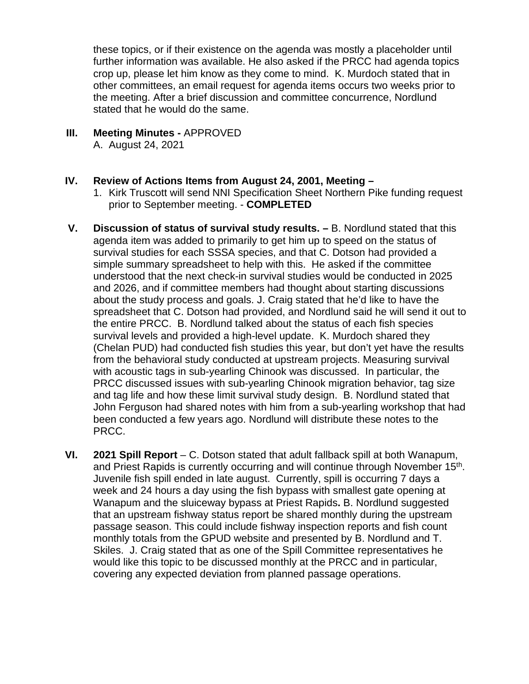these topics, or if their existence on the agenda was mostly a placeholder until further information was available. He also asked if the PRCC had agenda topics crop up, please let him know as they come to mind. K. Murdoch stated that in other committees, an email request for agenda items occurs two weeks prior to the meeting. After a brief discussion and committee concurrence, Nordlund stated that he would do the same.

- **III. Meeting Minutes -** APPROVED A. August 24, 2021
- **IV. Review of Actions Items from August 24, 2001, Meeting –**
	- 1. Kirk Truscott will send NNI Specification Sheet Northern Pike funding request prior to September meeting. - **COMPLETED**
- **V. Discussion of status of survival study results. –** B. Nordlund stated that this agenda item was added to primarily to get him up to speed on the status of survival studies for each SSSA species, and that C. Dotson had provided a simple summary spreadsheet to help with this. He asked if the committee understood that the next check-in survival studies would be conducted in 2025 and 2026, and if committee members had thought about starting discussions about the study process and goals. J. Craig stated that he'd like to have the spreadsheet that C. Dotson had provided, and Nordlund said he will send it out to the entire PRCC. B. Nordlund talked about the status of each fish species survival levels and provided a high-level update. K. Murdoch shared they (Chelan PUD) had conducted fish studies this year, but don't yet have the results from the behavioral study conducted at upstream projects. Measuring survival with acoustic tags in sub-yearling Chinook was discussed. In particular, the PRCC discussed issues with sub-yearling Chinook migration behavior, tag size and tag life and how these limit survival study design. B. Nordlund stated that John Ferguson had shared notes with him from a sub-yearling workshop that had been conducted a few years ago. Nordlund will distribute these notes to the PRCC.
- **VI. 2021 Spill Report** C. Dotson stated that adult fallback spill at both Wanapum, and Priest Rapids is currently occurring and will continue through November 15th. Juvenile fish spill ended in late august. Currently, spill is occurring 7 days a week and 24 hours a day using the fish bypass with smallest gate opening at Wanapum and the sluiceway bypass at Priest Rapids**.** B. Nordlund suggested that an upstream fishway status report be shared monthly during the upstream passage season. This could include fishway inspection reports and fish count monthly totals from the GPUD website and presented by B. Nordlund and T. Skiles. J. Craig stated that as one of the Spill Committee representatives he would like this topic to be discussed monthly at the PRCC and in particular, covering any expected deviation from planned passage operations.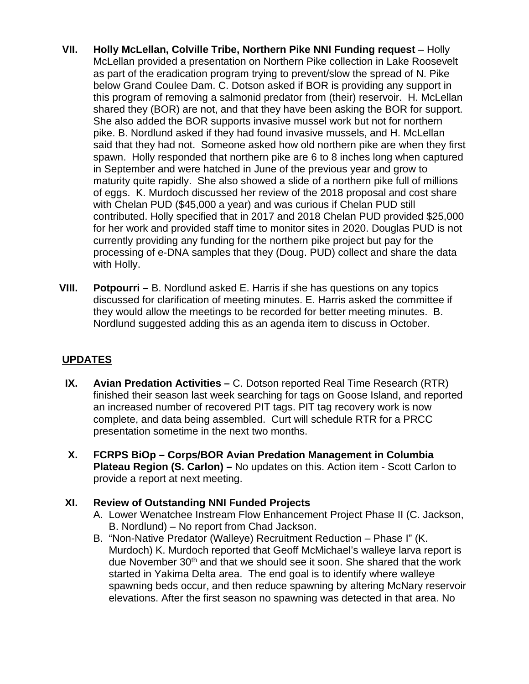- **VII. Holly McLellan, Colville Tribe, Northern Pike NNI Funding request** Holly McLellan provided a presentation on Northern Pike collection in Lake Roosevelt as part of the eradication program trying to prevent/slow the spread of N. Pike below Grand Coulee Dam. C. Dotson asked if BOR is providing any support in this program of removing a salmonid predator from (their) reservoir. H. McLellan shared they (BOR) are not, and that they have been asking the BOR for support. She also added the BOR supports invasive mussel work but not for northern pike. B. Nordlund asked if they had found invasive mussels, and H. McLellan said that they had not. Someone asked how old northern pike are when they first spawn. Holly responded that northern pike are 6 to 8 inches long when captured in September and were hatched in June of the previous year and grow to maturity quite rapidly. She also showed a slide of a northern pike full of millions of eggs. K. Murdoch discussed her review of the 2018 proposal and cost share with Chelan PUD (\$45,000 a year) and was curious if Chelan PUD still contributed. Holly specified that in 2017 and 2018 Chelan PUD provided \$25,000 for her work and provided staff time to monitor sites in 2020. Douglas PUD is not currently providing any funding for the northern pike project but pay for the processing of e-DNA samples that they (Doug. PUD) collect and share the data with Holly.
- **VIII. Potpourri –** B. Nordlund asked E. Harris if she has questions on any topics discussed for clarification of meeting minutes. E. Harris asked the committee if they would allow the meetings to be recorded for better meeting minutes. B. Nordlund suggested adding this as an agenda item to discuss in October.

## **UPDATES**

- **IX. Avian Predation Activities –** C. Dotson reported Real Time Research (RTR) finished their season last week searching for tags on Goose Island, and reported an increased number of recovered PIT tags. PIT tag recovery work is now complete, and data being assembled. Curt will schedule RTR for a PRCC presentation sometime in the next two months.
- **X. FCRPS BiOp – Corps/BOR Avian Predation Management in Columbia Plateau Region (S. Carlon) –** No updates on this. Action item - Scott Carlon to provide a report at next meeting.

### **XI. Review of Outstanding NNI Funded Projects**

- A. Lower Wenatchee Instream Flow Enhancement Project Phase II (C. Jackson, B. Nordlund) – No report from Chad Jackson.
- B. "Non-Native Predator (Walleye) Recruitment Reduction Phase I" (K. Murdoch) K. Murdoch reported that Geoff McMichael's walleye larva report is due November 30<sup>th</sup> and that we should see it soon. She shared that the work started in Yakima Delta area. The end goal is to identify where walleye spawning beds occur, and then reduce spawning by altering McNary reservoir elevations. After the first season no spawning was detected in that area. No